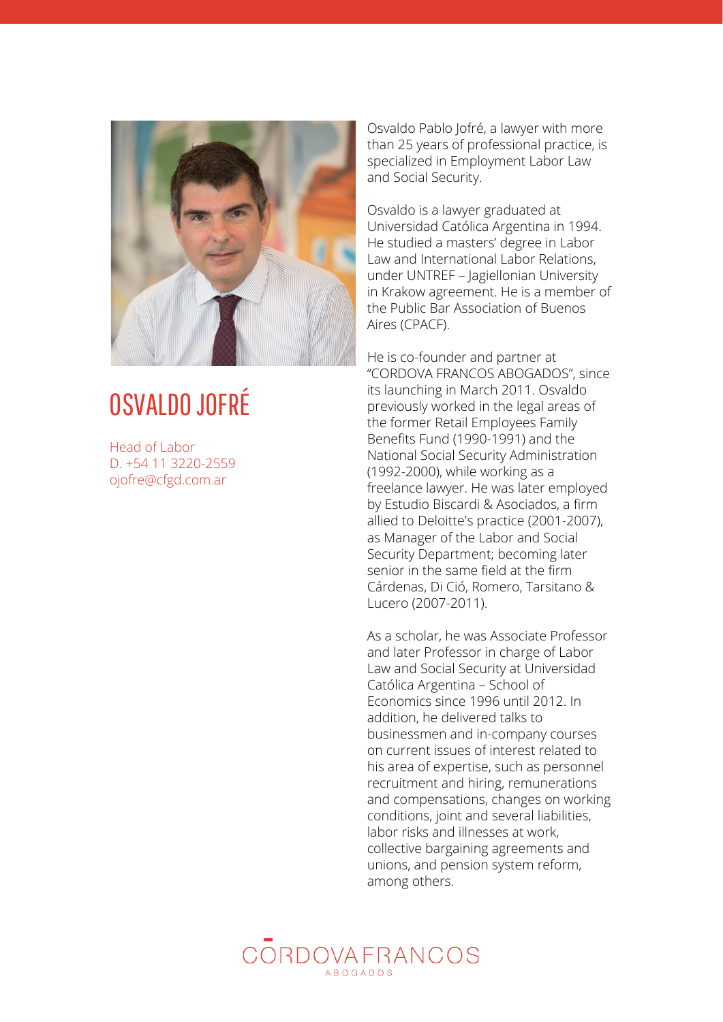

## OSVALDO JOFRÉ

Head of Labor D. +54 11 3220-2559 ojofre@cfgd.co[m.a](mailto:ojofre@cfgd.com.ar)r

Osvaldo Pablo Jofré, a lawyer with more than 25 years of professional practice, is s p e cializ e d in E m plo y m e n t L a b o r L a w a n d S o cial S e c u rit y.

Osvaldo is a lawyer graduated at Universidad Católica Argentina in 1994. He studied a masters' degree in Labor Law and International Labor Relations, under UNTREF – Jagiellonian University in Krakow agreement. He is a member o f the Public Bar Association of Buenos Aires (CPACF).

He is co-founder and partner at "CORDOVA FRANCOS ABOGADOS", since its launching in March 2011. Osvaldo previously worked in the legal areas of the former Retail Employees Family Benefits Fund (1990-1991) and the National Social Security Administration (1992-2000), while working as a freelance lawyer. He was later employed by Estudio Biscardi & Asociados, a firm allied to Deloitte's practice (2001-2007), as Manager of the Labor and Social Security Department; becoming later senior in the same field at the firm Cárdenas, Di Ció, Romero, Tarsitano & Lucero (2007-2011).

As a scholar, he was Associate Professor and later Professor in charge of Labor Law and Social Security at Universidad Católica Argentina – School of Economics since 1996 until 2012. In addition, he delivered talks to businessmen and in-company courses on current issues of interest related to his area of expertise, such as personnel recruitment and hiring, remunerations and compensations, changes on working conditions, joint and several liabilities, labor risks and illnesses at work, collective bargaining agreements and unions, and pension system reform, among others.